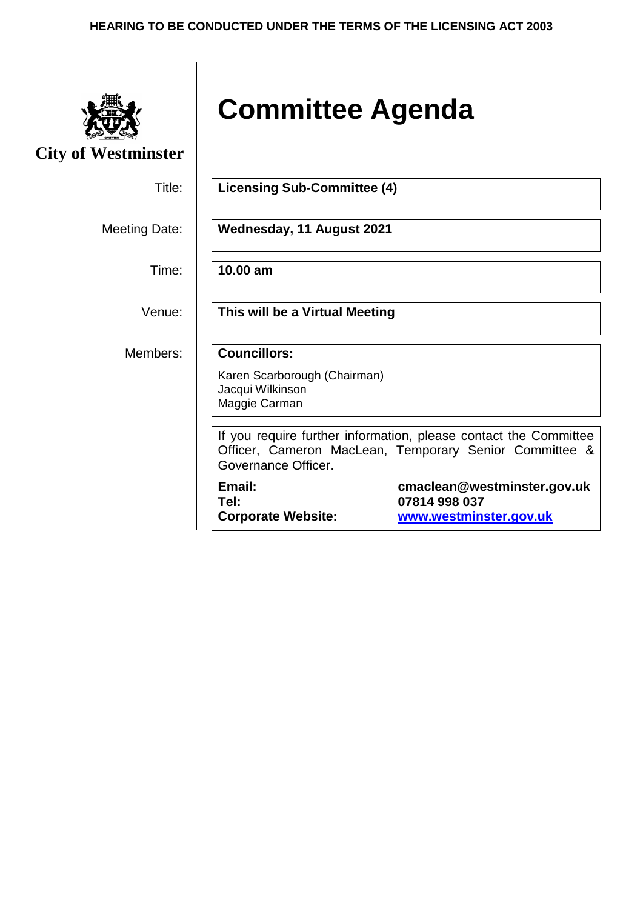#### **HEARING TO BE CONDUCTED UNDER THE TERMS OF THE LICENSING ACT 2003**



**City of Westminster**

# **Committee Agenda**

| Title:        | <b>Licensing Sub-Committee (4)</b>                                                                                                                |  |  |
|---------------|---------------------------------------------------------------------------------------------------------------------------------------------------|--|--|
| Meeting Date: | Wednesday, 11 August 2021                                                                                                                         |  |  |
| Time:         | 10.00 am                                                                                                                                          |  |  |
| Venue:        | This will be a Virtual Meeting                                                                                                                    |  |  |
| Members:      | <b>Councillors:</b><br>Karen Scarborough (Chairman)<br>Jacqui Wilkinson<br>Maggie Carman                                                          |  |  |
|               | If you require further information, please contact the Committee<br>Officer, Cameron MacLean, Temporary Senior Committee &<br>Governance Officer. |  |  |
|               | Email:<br>cmaclean@westminster.gov.uk<br>07814 998 037<br>Tel:<br>www.westminster.gov.uk<br><b>Corporate Website:</b>                             |  |  |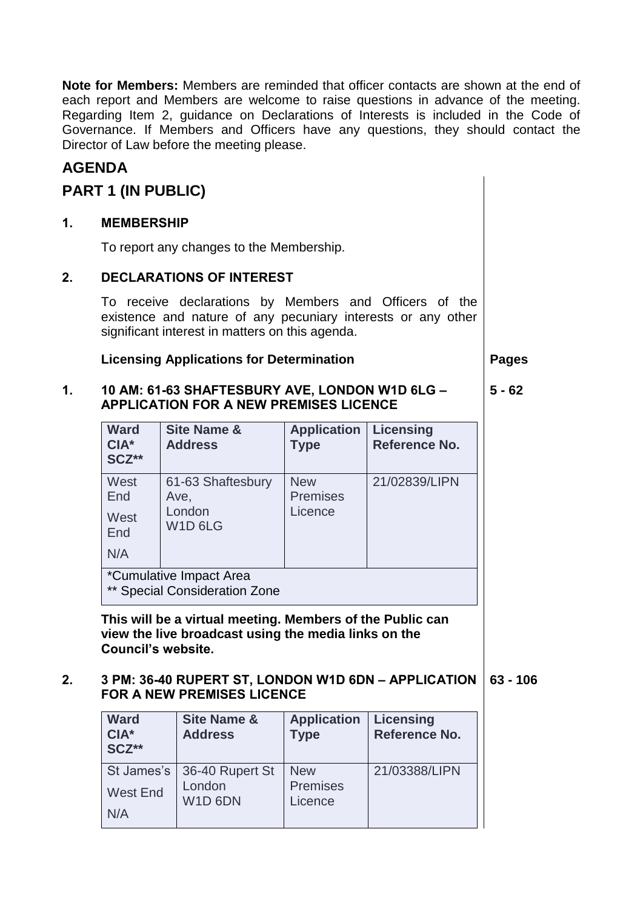**Note for Members:** Members are reminded that officer contacts are shown at the end of each report and Members are welcome to raise questions in advance of the meeting. Regarding Item 2, guidance on Declarations of Interests is included in the Code of Governance. If Members and Officers have any questions, they should contact the Director of Law before the meeting please.

## **AGENDA**

## **PART 1 (IN PUBLIC)**

### **1. MEMBERSHIP**

To report any changes to the Membership.

#### **2. DECLARATIONS OF INTEREST**

To receive declarations by Members and Officers of the existence and nature of any pecuniary interests or any other significant interest in matters on this agenda.

#### **Licensing Applications for Determination | Pages**

#### **1. 10 AM: 61-63 SHAFTESBURY AVE, LONDON W1D 6LG – APPLICATION FOR A NEW PREMISES LICENCE 5 - 62**

| <b>Ward</b><br>$CIA*$<br>SCZ**                           | <b>Site Name &amp;</b><br><b>Address</b>                               | <b>Application</b><br><b>Type</b>        | <b>Licensing</b><br><b>Reference No.</b> |
|----------------------------------------------------------|------------------------------------------------------------------------|------------------------------------------|------------------------------------------|
| West<br>End<br>West<br>End<br>N/A                        | 61-63 Shaftesbury<br>Ave,<br>London<br>W <sub>1</sub> D <sub>6LG</sub> | <b>New</b><br><b>Premises</b><br>Licence | 21/02839/LIPN                            |
| *Cumulative Impact Area<br>** Special Consideration Zone |                                                                        |                                          |                                          |

**This will be a virtual meeting. Members of the Public can view the live broadcast using the media links on the Council's website.**

#### **2. 3 PM: 36-40 RUPERT ST, LONDON W1D 6DN – APPLICATION 63 - 106 FOR A NEW PREMISES LICENCE**

| <b>Ward</b><br>$CIA*$<br>SCZ** | <b>Site Name &amp;</b><br><b>Address</b>   | <b>Application</b><br><b>Type</b> | <b>Licensing</b><br>Reference No. |
|--------------------------------|--------------------------------------------|-----------------------------------|-----------------------------------|
|                                | St James's   36-40 Rupert St               | <b>New</b>                        | 21/03388/LIPN                     |
| <b>West End</b>                | London<br>W <sub>1</sub> D <sub>6</sub> DN | <b>Premises</b><br>Licence        |                                   |
| N/A                            |                                            |                                   |                                   |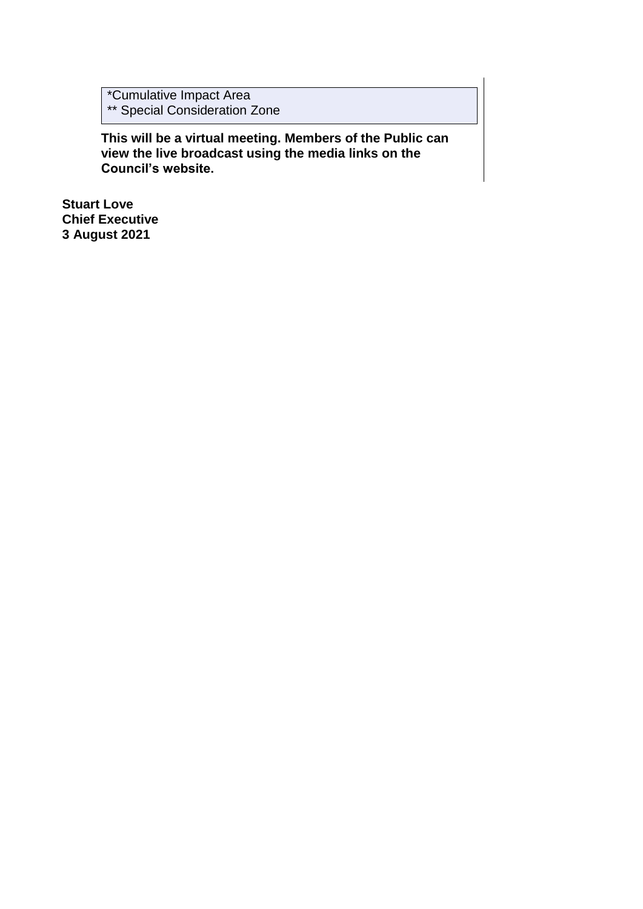\*Cumulative Impact Area \*\* Special Consideration Zone

**This will be a virtual meeting. Members of the Public can view the live broadcast using the media links on the Council's website.**

**Stuart Love Chief Executive 3 August 2021**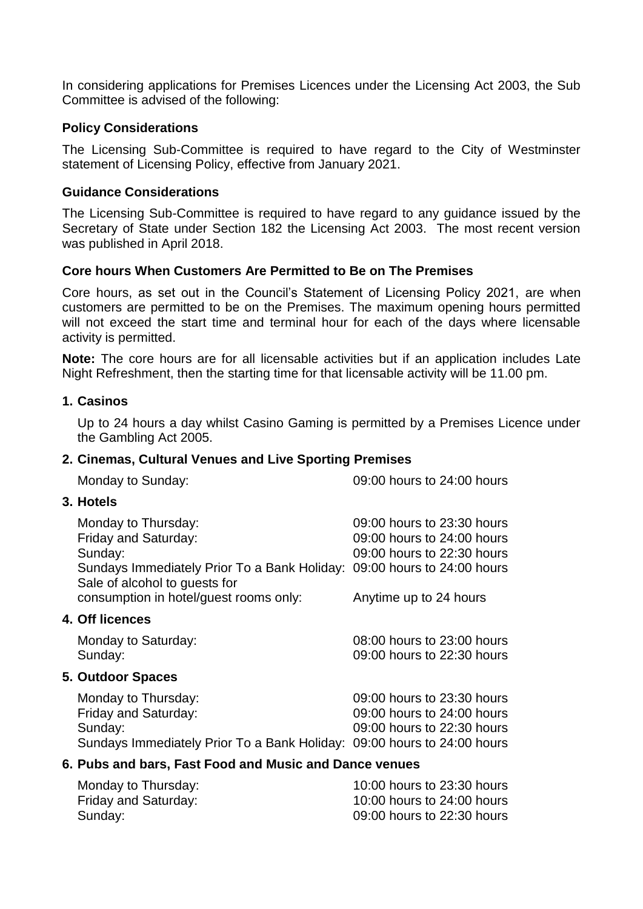In considering applications for Premises Licences under the Licensing Act 2003, the Sub Committee is advised of the following:

#### **Policy Considerations**

The Licensing Sub-Committee is required to have regard to the City of Westminster statement of Licensing Policy, effective from January 2021.

#### **Guidance Considerations**

The Licensing Sub-Committee is required to have regard to any guidance issued by the Secretary of State under Section 182 the Licensing Act 2003. The most recent version was published in April 2018.

#### **Core hours When Customers Are Permitted to Be on The Premises**

Core hours, as set out in the Council's Statement of Licensing Policy 2021, are when customers are permitted to be on the Premises. The maximum opening hours permitted will not exceed the start time and terminal hour for each of the days where licensable activity is permitted.

**Note:** The core hours are for all licensable activities but if an application includes Late Night Refreshment, then the starting time for that licensable activity will be 11.00 pm.

#### **1. Casinos**

Up to 24 hours a day whilst Casino Gaming is permitted by a Premises Licence under the Gambling Act 2005.

#### **2. Cinemas, Cultural Venues and Live Sporting Premises**

Monday to Sunday: 09:00 hours to 24:00 hours

#### **3. Hotels**

| Monday to Thursday:<br>Friday and Saturday:                                                                   | 09:00 hours to 23:30 hours<br>09:00 hours to 24:00 hours |
|---------------------------------------------------------------------------------------------------------------|----------------------------------------------------------|
| Sunday:                                                                                                       | 09:00 hours to 22:30 hours                               |
| Sundays Immediately Prior To a Bank Holiday:<br>Sale of alcohol to guests for                                 | 09:00 hours to 24:00 hours                               |
| consumption in hotel/guest rooms only:                                                                        | Anytime up to 24 hours                                   |
| <b>4. Off licences</b>                                                                                        |                                                          |
| Monday to Saturday:                                                                                           | 08:00 hours to 23:00 hours                               |
| Sunday:                                                                                                       | 09:00 hours to 22:30 hours                               |
| <b>5. Outdoor Spaces</b>                                                                                      |                                                          |
| Monday to Thursday:                                                                                           | 09:00 hours to 23:30 hours                               |
| Friday and Saturday:                                                                                          | 09:00 hours to 24:00 hours                               |
| Sunday:                                                                                                       | 09:00 hours to 22:30 hours                               |
| Sundays Immediately Prior To a Bank Holiday: 09:00 hours to 24:00 hours                                       |                                                          |
| . Robert and the secret Profile of the U.M. and the State and the Property of the Property of the Property of |                                                          |

#### **6. Pubs and bars, Fast Food and Music and Dance venues**

| Monday to Thursday:  | 10:00 hours to 23:30 hours |
|----------------------|----------------------------|
| Friday and Saturday: | 10:00 hours to 24:00 hours |
| Sunday:              | 09:00 hours to 22:30 hours |